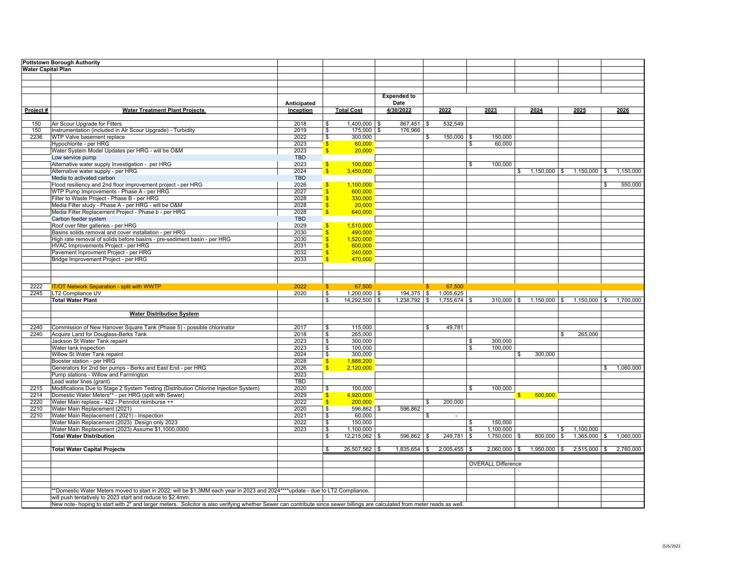| <b>Water Capital Plan</b><br><b>Expended to</b><br>Anticipated<br>Date<br>4/30/2022<br><b>Total Cost</b><br>2022<br>2023<br>2025<br>Project#<br><b>Water Treatment Plant Projects</b><br>Inception<br>2024<br>2026<br>532,549<br>Air Scour Upgrade for Filters<br>2018<br>$\sqrt{2}$<br>$1,400,000$ \$<br>$867,451$ \$<br>150<br>Instrumentation (included in Air Scour Upgrade) - Turbidity<br>$175,000$ \$<br>150<br>2019<br>\$<br>176,966<br>2236<br>WTP Valve basement replace<br>2022<br>\$<br>300,000<br>150,000 \$<br>150,000<br>\$<br>Hypochlorite - per HRG<br>60,000<br>2023<br>$\mathsf{S}$<br>60,000<br>S.<br>Water System Model Updates per HRG - will be O&M<br>20,000<br>2023<br>$\mathbf{s}$<br>Low service pump<br><b>TBD</b><br>Alternative water supply Investigation - per HRG<br>100.000<br>2023<br>100.000<br>$\mathbf{s}$<br>\$<br>Alternative water supply - per HRG<br>2024<br>$\overline{\mathbf{s}}$<br>3,450,000<br>$1,150,000$ \$ $1,150,000$ \$<br>1,150,000<br>Media to activated carbon<br><b>TBD</b><br>Flood resiliency and 2nd floor improvement project - per HRG<br>2026<br>$\mathbf{s}$<br>1,100,000<br>550,000<br>\$<br>WTP Pump Improvements - Phase A - per HRG<br>2027<br>$\overline{\mathbf{s}}$<br>600.000<br>Filter to Waste Project - Phase B - per HRG<br>$\overline{\mathbf{s}}$<br>2028<br>330,000<br>Media Filter study - Phase A - per HRG - will be O&M<br><sub>\$</sub><br>20,000<br>2028<br>Media Filter Replacement Project - Phase b - per HRG<br>$\mathbf{s}$<br>640,000<br>2028<br>Carbon feeder system<br><b>TBD</b><br>Roof over filter galleries - per HRG<br>2029<br>$\sqrt{3}$<br>1,510,000<br>Basins solids removal and cover installation - per HRG<br>2030<br>$\overline{\mathbf{s}}$<br>490,000<br>High rate removal of solids before basins - pre-sediment basin - per HRG<br>$\overline{\mathbf{s}}$<br>2030<br>1,520,000<br>HVAC Improvements Project - per HRG<br><sub>\$</sub><br>2031<br>600,000<br>Pavement Inprovment Project - per HRG<br>2032<br>$\overline{\mathbf{s}}$<br>240,000<br>Bridge Improvement Project - per HRG<br>2033<br>$\mathbf{s}$<br>470,000<br>2222<br>2022<br>67,500<br>67,500<br><b>IT/OT Network Separation - split with WWTP</b><br>$\mathsf{s}$<br>S<br>LT2 Compliance UV<br>2020<br>\$<br>$1,200,000$ \$<br>194,375 \$ 1,005,625<br>2245<br><b>Total Water Plant</b><br>$1,238,792$ \$<br>$\mathbf{s}$<br>14,292,500 \$<br>$1,755,674$ \$<br>$310,000$ \$<br>$1,150,000$ \$<br>$1,150,000$ \$<br>1,700,000<br><b>Water Distribution System</b><br>Commission of New Hanover Square Tank (Phase 5) - possible chlorinator<br>2017<br>2240<br>115,000<br>49,781<br>\$<br>\$<br>Acquire Land for Douglass-Berks Tank<br>2018<br>$\boldsymbol{\mathsf{s}}$<br>265,000<br>265,000<br>2240<br>\$<br>Jackson St Water Tank repaint<br>2023<br>300,000<br>300.000<br>\$<br>\$<br>Water tank inspection<br>2023<br>\$<br>100,000<br>100,000<br>\$<br>Willow St Water Tank repaint<br>2024<br>\$<br>300.000<br>300,000<br>\$<br>Booster station - per HRG<br>2028<br>1,888,200<br>$\mathsf{S}$<br>$\mathsf{s}$<br>2,120,000<br>Generators for 2nd tier pumps - Berks and East End - per HRG<br>\$ 1,060,000<br>2026<br>Pump stations - Willow and Farmington<br>2023<br>Lead water lines (grant)<br><b>TBD</b><br>Modifications Due to Stage 2 System Testing (Distribution Chlorine Injection System)<br>2020<br>$\bullet$<br>100,000<br>$\overline{\mathbf{s}}$<br>2215<br>100,000<br>Domestic Water Meters** - per HRG (split with Sewer)<br>2029<br>4,920,000<br>500,000<br>2214<br>$\mathbf{s}$<br>$\mathbf{s}$<br>2220<br>Water Main replace - 422 - Penndot reimburse ++<br>2022<br>$\mathsf{s}$<br>200,000<br>200,000<br>\$<br>Water Main Replacement (2021)<br>2210<br>2020<br>\$<br>596,862 \$<br>596,862<br>Water Main Replacement (2021) - Inspection<br>2210<br>2021<br>$\boldsymbol{\theta}$<br>60,000<br>\$<br>$\sim$<br>Water Main Replacement (2023) Design only 2023<br>2022<br>\$<br>150,000<br>\$<br>150.000<br>Water Main Replacement (2023) Assume \$1,1000,0000<br>1,100,000<br>2023<br>\$<br>1,100,000<br>1,100,000<br>\$<br>\$<br><b>Total Water Distribution</b><br>12,215,062<br>596,862<br>249,781<br>1,750,000<br>$800,000$ \$<br>1,365,000<br>\$<br>\$<br>\$<br>$\sqrt{3}$<br><b>\$</b><br>$26,507,562$ \$<br>$1,835,654$ \$<br>$2,005,455$ \$<br>$2,060,000$ \$<br>$1,950,000$ \$<br>$2,515,000$ \$<br>2,760,000<br><b>Total Water Capital Projects</b><br>- \$<br><b>OVERALL Difference</b><br>*Domestic Water Meters moved to start in 2022; will be \$1.3MM each year in 2023 and 2024****update - due to LT2 Compliance,<br>will push tentatively to 2023 start and reduce to \$2.4mm.<br>New note- hoping to start with 2" and larger meters. Solicitor is also verifying whether Sewer can contribute since sewer billings are calculated from meter reads as well. | <b>Pottstown Borough Authority</b> |  |  |  |  |  |  |  |
|------------------------------------------------------------------------------------------------------------------------------------------------------------------------------------------------------------------------------------------------------------------------------------------------------------------------------------------------------------------------------------------------------------------------------------------------------------------------------------------------------------------------------------------------------------------------------------------------------------------------------------------------------------------------------------------------------------------------------------------------------------------------------------------------------------------------------------------------------------------------------------------------------------------------------------------------------------------------------------------------------------------------------------------------------------------------------------------------------------------------------------------------------------------------------------------------------------------------------------------------------------------------------------------------------------------------------------------------------------------------------------------------------------------------------------------------------------------------------------------------------------------------------------------------------------------------------------------------------------------------------------------------------------------------------------------------------------------------------------------------------------------------------------------------------------------------------------------------------------------------------------------------------------------------------------------------------------------------------------------------------------------------------------------------------------------------------------------------------------------------------------------------------------------------------------------------------------------------------------------------------------------------------------------------------------------------------------------------------------------------------------------------------------------------------------------------------------------------------------------------------------------------------------------------------------------------------------------------------------------------------------------------------------------------------------------------------------------------------------------------------------------------------------------------------------------------------------------------------------------------------------------------------------------------------------------------------------------------------------------------------------------------------------------------------------------------------------------------------------------------------------------------------------------------------------------------------------------------------------------------------------------------------------------------------------------------------------------------------------------------------------------------------------------------------------------------------------------------------------------------------------------------------------------------------------------------------------------------------------------------------------------------------------------------------------------------------------------------------------------------------------------------------------------------------------------------------------------------------------------------------------------------------------------------------------------------------------------------------------------------------------------------------------------------------------------------------------------------------------------------------------------------------------------------------------------------------------------------------------------------------------------------------------------------------------------------------------------------------------------------------------------------------------------------------------------------------------------------------------------------------------------------------------------------------------------------------------------------------------------------------------------------------------------------------------------------------------------------------------------------------------------------------------------------------------------------------------------------------------------------------------------------------|------------------------------------|--|--|--|--|--|--|--|
|                                                                                                                                                                                                                                                                                                                                                                                                                                                                                                                                                                                                                                                                                                                                                                                                                                                                                                                                                                                                                                                                                                                                                                                                                                                                                                                                                                                                                                                                                                                                                                                                                                                                                                                                                                                                                                                                                                                                                                                                                                                                                                                                                                                                                                                                                                                                                                                                                                                                                                                                                                                                                                                                                                                                                                                                                                                                                                                                                                                                                                                                                                                                                                                                                                                                                                                                                                                                                                                                                                                                                                                                                                                                                                                                                                                                                                                                                                                                                                                                                                                                                                                                                                                                                                                                                                                                                                                                                                                                                                                                                                                                                                                                                                                                                                                                                                                                                                      |                                    |  |  |  |  |  |  |  |
|                                                                                                                                                                                                                                                                                                                                                                                                                                                                                                                                                                                                                                                                                                                                                                                                                                                                                                                                                                                                                                                                                                                                                                                                                                                                                                                                                                                                                                                                                                                                                                                                                                                                                                                                                                                                                                                                                                                                                                                                                                                                                                                                                                                                                                                                                                                                                                                                                                                                                                                                                                                                                                                                                                                                                                                                                                                                                                                                                                                                                                                                                                                                                                                                                                                                                                                                                                                                                                                                                                                                                                                                                                                                                                                                                                                                                                                                                                                                                                                                                                                                                                                                                                                                                                                                                                                                                                                                                                                                                                                                                                                                                                                                                                                                                                                                                                                                                                      |                                    |  |  |  |  |  |  |  |
|                                                                                                                                                                                                                                                                                                                                                                                                                                                                                                                                                                                                                                                                                                                                                                                                                                                                                                                                                                                                                                                                                                                                                                                                                                                                                                                                                                                                                                                                                                                                                                                                                                                                                                                                                                                                                                                                                                                                                                                                                                                                                                                                                                                                                                                                                                                                                                                                                                                                                                                                                                                                                                                                                                                                                                                                                                                                                                                                                                                                                                                                                                                                                                                                                                                                                                                                                                                                                                                                                                                                                                                                                                                                                                                                                                                                                                                                                                                                                                                                                                                                                                                                                                                                                                                                                                                                                                                                                                                                                                                                                                                                                                                                                                                                                                                                                                                                                                      |                                    |  |  |  |  |  |  |  |
|                                                                                                                                                                                                                                                                                                                                                                                                                                                                                                                                                                                                                                                                                                                                                                                                                                                                                                                                                                                                                                                                                                                                                                                                                                                                                                                                                                                                                                                                                                                                                                                                                                                                                                                                                                                                                                                                                                                                                                                                                                                                                                                                                                                                                                                                                                                                                                                                                                                                                                                                                                                                                                                                                                                                                                                                                                                                                                                                                                                                                                                                                                                                                                                                                                                                                                                                                                                                                                                                                                                                                                                                                                                                                                                                                                                                                                                                                                                                                                                                                                                                                                                                                                                                                                                                                                                                                                                                                                                                                                                                                                                                                                                                                                                                                                                                                                                                                                      |                                    |  |  |  |  |  |  |  |
|                                                                                                                                                                                                                                                                                                                                                                                                                                                                                                                                                                                                                                                                                                                                                                                                                                                                                                                                                                                                                                                                                                                                                                                                                                                                                                                                                                                                                                                                                                                                                                                                                                                                                                                                                                                                                                                                                                                                                                                                                                                                                                                                                                                                                                                                                                                                                                                                                                                                                                                                                                                                                                                                                                                                                                                                                                                                                                                                                                                                                                                                                                                                                                                                                                                                                                                                                                                                                                                                                                                                                                                                                                                                                                                                                                                                                                                                                                                                                                                                                                                                                                                                                                                                                                                                                                                                                                                                                                                                                                                                                                                                                                                                                                                                                                                                                                                                                                      |                                    |  |  |  |  |  |  |  |
|                                                                                                                                                                                                                                                                                                                                                                                                                                                                                                                                                                                                                                                                                                                                                                                                                                                                                                                                                                                                                                                                                                                                                                                                                                                                                                                                                                                                                                                                                                                                                                                                                                                                                                                                                                                                                                                                                                                                                                                                                                                                                                                                                                                                                                                                                                                                                                                                                                                                                                                                                                                                                                                                                                                                                                                                                                                                                                                                                                                                                                                                                                                                                                                                                                                                                                                                                                                                                                                                                                                                                                                                                                                                                                                                                                                                                                                                                                                                                                                                                                                                                                                                                                                                                                                                                                                                                                                                                                                                                                                                                                                                                                                                                                                                                                                                                                                                                                      |                                    |  |  |  |  |  |  |  |
|                                                                                                                                                                                                                                                                                                                                                                                                                                                                                                                                                                                                                                                                                                                                                                                                                                                                                                                                                                                                                                                                                                                                                                                                                                                                                                                                                                                                                                                                                                                                                                                                                                                                                                                                                                                                                                                                                                                                                                                                                                                                                                                                                                                                                                                                                                                                                                                                                                                                                                                                                                                                                                                                                                                                                                                                                                                                                                                                                                                                                                                                                                                                                                                                                                                                                                                                                                                                                                                                                                                                                                                                                                                                                                                                                                                                                                                                                                                                                                                                                                                                                                                                                                                                                                                                                                                                                                                                                                                                                                                                                                                                                                                                                                                                                                                                                                                                                                      |                                    |  |  |  |  |  |  |  |
| 1,060,000                                                                                                                                                                                                                                                                                                                                                                                                                                                                                                                                                                                                                                                                                                                                                                                                                                                                                                                                                                                                                                                                                                                                                                                                                                                                                                                                                                                                                                                                                                                                                                                                                                                                                                                                                                                                                                                                                                                                                                                                                                                                                                                                                                                                                                                                                                                                                                                                                                                                                                                                                                                                                                                                                                                                                                                                                                                                                                                                                                                                                                                                                                                                                                                                                                                                                                                                                                                                                                                                                                                                                                                                                                                                                                                                                                                                                                                                                                                                                                                                                                                                                                                                                                                                                                                                                                                                                                                                                                                                                                                                                                                                                                                                                                                                                                                                                                                                                            |                                    |  |  |  |  |  |  |  |
|                                                                                                                                                                                                                                                                                                                                                                                                                                                                                                                                                                                                                                                                                                                                                                                                                                                                                                                                                                                                                                                                                                                                                                                                                                                                                                                                                                                                                                                                                                                                                                                                                                                                                                                                                                                                                                                                                                                                                                                                                                                                                                                                                                                                                                                                                                                                                                                                                                                                                                                                                                                                                                                                                                                                                                                                                                                                                                                                                                                                                                                                                                                                                                                                                                                                                                                                                                                                                                                                                                                                                                                                                                                                                                                                                                                                                                                                                                                                                                                                                                                                                                                                                                                                                                                                                                                                                                                                                                                                                                                                                                                                                                                                                                                                                                                                                                                                                                      |                                    |  |  |  |  |  |  |  |
|                                                                                                                                                                                                                                                                                                                                                                                                                                                                                                                                                                                                                                                                                                                                                                                                                                                                                                                                                                                                                                                                                                                                                                                                                                                                                                                                                                                                                                                                                                                                                                                                                                                                                                                                                                                                                                                                                                                                                                                                                                                                                                                                                                                                                                                                                                                                                                                                                                                                                                                                                                                                                                                                                                                                                                                                                                                                                                                                                                                                                                                                                                                                                                                                                                                                                                                                                                                                                                                                                                                                                                                                                                                                                                                                                                                                                                                                                                                                                                                                                                                                                                                                                                                                                                                                                                                                                                                                                                                                                                                                                                                                                                                                                                                                                                                                                                                                                                      |                                    |  |  |  |  |  |  |  |
|                                                                                                                                                                                                                                                                                                                                                                                                                                                                                                                                                                                                                                                                                                                                                                                                                                                                                                                                                                                                                                                                                                                                                                                                                                                                                                                                                                                                                                                                                                                                                                                                                                                                                                                                                                                                                                                                                                                                                                                                                                                                                                                                                                                                                                                                                                                                                                                                                                                                                                                                                                                                                                                                                                                                                                                                                                                                                                                                                                                                                                                                                                                                                                                                                                                                                                                                                                                                                                                                                                                                                                                                                                                                                                                                                                                                                                                                                                                                                                                                                                                                                                                                                                                                                                                                                                                                                                                                                                                                                                                                                                                                                                                                                                                                                                                                                                                                                                      |                                    |  |  |  |  |  |  |  |
|                                                                                                                                                                                                                                                                                                                                                                                                                                                                                                                                                                                                                                                                                                                                                                                                                                                                                                                                                                                                                                                                                                                                                                                                                                                                                                                                                                                                                                                                                                                                                                                                                                                                                                                                                                                                                                                                                                                                                                                                                                                                                                                                                                                                                                                                                                                                                                                                                                                                                                                                                                                                                                                                                                                                                                                                                                                                                                                                                                                                                                                                                                                                                                                                                                                                                                                                                                                                                                                                                                                                                                                                                                                                                                                                                                                                                                                                                                                                                                                                                                                                                                                                                                                                                                                                                                                                                                                                                                                                                                                                                                                                                                                                                                                                                                                                                                                                                                      |                                    |  |  |  |  |  |  |  |
|                                                                                                                                                                                                                                                                                                                                                                                                                                                                                                                                                                                                                                                                                                                                                                                                                                                                                                                                                                                                                                                                                                                                                                                                                                                                                                                                                                                                                                                                                                                                                                                                                                                                                                                                                                                                                                                                                                                                                                                                                                                                                                                                                                                                                                                                                                                                                                                                                                                                                                                                                                                                                                                                                                                                                                                                                                                                                                                                                                                                                                                                                                                                                                                                                                                                                                                                                                                                                                                                                                                                                                                                                                                                                                                                                                                                                                                                                                                                                                                                                                                                                                                                                                                                                                                                                                                                                                                                                                                                                                                                                                                                                                                                                                                                                                                                                                                                                                      |                                    |  |  |  |  |  |  |  |
|                                                                                                                                                                                                                                                                                                                                                                                                                                                                                                                                                                                                                                                                                                                                                                                                                                                                                                                                                                                                                                                                                                                                                                                                                                                                                                                                                                                                                                                                                                                                                                                                                                                                                                                                                                                                                                                                                                                                                                                                                                                                                                                                                                                                                                                                                                                                                                                                                                                                                                                                                                                                                                                                                                                                                                                                                                                                                                                                                                                                                                                                                                                                                                                                                                                                                                                                                                                                                                                                                                                                                                                                                                                                                                                                                                                                                                                                                                                                                                                                                                                                                                                                                                                                                                                                                                                                                                                                                                                                                                                                                                                                                                                                                                                                                                                                                                                                                                      |                                    |  |  |  |  |  |  |  |
|                                                                                                                                                                                                                                                                                                                                                                                                                                                                                                                                                                                                                                                                                                                                                                                                                                                                                                                                                                                                                                                                                                                                                                                                                                                                                                                                                                                                                                                                                                                                                                                                                                                                                                                                                                                                                                                                                                                                                                                                                                                                                                                                                                                                                                                                                                                                                                                                                                                                                                                                                                                                                                                                                                                                                                                                                                                                                                                                                                                                                                                                                                                                                                                                                                                                                                                                                                                                                                                                                                                                                                                                                                                                                                                                                                                                                                                                                                                                                                                                                                                                                                                                                                                                                                                                                                                                                                                                                                                                                                                                                                                                                                                                                                                                                                                                                                                                                                      |                                    |  |  |  |  |  |  |  |
|                                                                                                                                                                                                                                                                                                                                                                                                                                                                                                                                                                                                                                                                                                                                                                                                                                                                                                                                                                                                                                                                                                                                                                                                                                                                                                                                                                                                                                                                                                                                                                                                                                                                                                                                                                                                                                                                                                                                                                                                                                                                                                                                                                                                                                                                                                                                                                                                                                                                                                                                                                                                                                                                                                                                                                                                                                                                                                                                                                                                                                                                                                                                                                                                                                                                                                                                                                                                                                                                                                                                                                                                                                                                                                                                                                                                                                                                                                                                                                                                                                                                                                                                                                                                                                                                                                                                                                                                                                                                                                                                                                                                                                                                                                                                                                                                                                                                                                      |                                    |  |  |  |  |  |  |  |
|                                                                                                                                                                                                                                                                                                                                                                                                                                                                                                                                                                                                                                                                                                                                                                                                                                                                                                                                                                                                                                                                                                                                                                                                                                                                                                                                                                                                                                                                                                                                                                                                                                                                                                                                                                                                                                                                                                                                                                                                                                                                                                                                                                                                                                                                                                                                                                                                                                                                                                                                                                                                                                                                                                                                                                                                                                                                                                                                                                                                                                                                                                                                                                                                                                                                                                                                                                                                                                                                                                                                                                                                                                                                                                                                                                                                                                                                                                                                                                                                                                                                                                                                                                                                                                                                                                                                                                                                                                                                                                                                                                                                                                                                                                                                                                                                                                                                                                      |                                    |  |  |  |  |  |  |  |
|                                                                                                                                                                                                                                                                                                                                                                                                                                                                                                                                                                                                                                                                                                                                                                                                                                                                                                                                                                                                                                                                                                                                                                                                                                                                                                                                                                                                                                                                                                                                                                                                                                                                                                                                                                                                                                                                                                                                                                                                                                                                                                                                                                                                                                                                                                                                                                                                                                                                                                                                                                                                                                                                                                                                                                                                                                                                                                                                                                                                                                                                                                                                                                                                                                                                                                                                                                                                                                                                                                                                                                                                                                                                                                                                                                                                                                                                                                                                                                                                                                                                                                                                                                                                                                                                                                                                                                                                                                                                                                                                                                                                                                                                                                                                                                                                                                                                                                      |                                    |  |  |  |  |  |  |  |
|                                                                                                                                                                                                                                                                                                                                                                                                                                                                                                                                                                                                                                                                                                                                                                                                                                                                                                                                                                                                                                                                                                                                                                                                                                                                                                                                                                                                                                                                                                                                                                                                                                                                                                                                                                                                                                                                                                                                                                                                                                                                                                                                                                                                                                                                                                                                                                                                                                                                                                                                                                                                                                                                                                                                                                                                                                                                                                                                                                                                                                                                                                                                                                                                                                                                                                                                                                                                                                                                                                                                                                                                                                                                                                                                                                                                                                                                                                                                                                                                                                                                                                                                                                                                                                                                                                                                                                                                                                                                                                                                                                                                                                                                                                                                                                                                                                                                                                      |                                    |  |  |  |  |  |  |  |
|                                                                                                                                                                                                                                                                                                                                                                                                                                                                                                                                                                                                                                                                                                                                                                                                                                                                                                                                                                                                                                                                                                                                                                                                                                                                                                                                                                                                                                                                                                                                                                                                                                                                                                                                                                                                                                                                                                                                                                                                                                                                                                                                                                                                                                                                                                                                                                                                                                                                                                                                                                                                                                                                                                                                                                                                                                                                                                                                                                                                                                                                                                                                                                                                                                                                                                                                                                                                                                                                                                                                                                                                                                                                                                                                                                                                                                                                                                                                                                                                                                                                                                                                                                                                                                                                                                                                                                                                                                                                                                                                                                                                                                                                                                                                                                                                                                                                                                      |                                    |  |  |  |  |  |  |  |
|                                                                                                                                                                                                                                                                                                                                                                                                                                                                                                                                                                                                                                                                                                                                                                                                                                                                                                                                                                                                                                                                                                                                                                                                                                                                                                                                                                                                                                                                                                                                                                                                                                                                                                                                                                                                                                                                                                                                                                                                                                                                                                                                                                                                                                                                                                                                                                                                                                                                                                                                                                                                                                                                                                                                                                                                                                                                                                                                                                                                                                                                                                                                                                                                                                                                                                                                                                                                                                                                                                                                                                                                                                                                                                                                                                                                                                                                                                                                                                                                                                                                                                                                                                                                                                                                                                                                                                                                                                                                                                                                                                                                                                                                                                                                                                                                                                                                                                      |                                    |  |  |  |  |  |  |  |
|                                                                                                                                                                                                                                                                                                                                                                                                                                                                                                                                                                                                                                                                                                                                                                                                                                                                                                                                                                                                                                                                                                                                                                                                                                                                                                                                                                                                                                                                                                                                                                                                                                                                                                                                                                                                                                                                                                                                                                                                                                                                                                                                                                                                                                                                                                                                                                                                                                                                                                                                                                                                                                                                                                                                                                                                                                                                                                                                                                                                                                                                                                                                                                                                                                                                                                                                                                                                                                                                                                                                                                                                                                                                                                                                                                                                                                                                                                                                                                                                                                                                                                                                                                                                                                                                                                                                                                                                                                                                                                                                                                                                                                                                                                                                                                                                                                                                                                      |                                    |  |  |  |  |  |  |  |
|                                                                                                                                                                                                                                                                                                                                                                                                                                                                                                                                                                                                                                                                                                                                                                                                                                                                                                                                                                                                                                                                                                                                                                                                                                                                                                                                                                                                                                                                                                                                                                                                                                                                                                                                                                                                                                                                                                                                                                                                                                                                                                                                                                                                                                                                                                                                                                                                                                                                                                                                                                                                                                                                                                                                                                                                                                                                                                                                                                                                                                                                                                                                                                                                                                                                                                                                                                                                                                                                                                                                                                                                                                                                                                                                                                                                                                                                                                                                                                                                                                                                                                                                                                                                                                                                                                                                                                                                                                                                                                                                                                                                                                                                                                                                                                                                                                                                                                      |                                    |  |  |  |  |  |  |  |
|                                                                                                                                                                                                                                                                                                                                                                                                                                                                                                                                                                                                                                                                                                                                                                                                                                                                                                                                                                                                                                                                                                                                                                                                                                                                                                                                                                                                                                                                                                                                                                                                                                                                                                                                                                                                                                                                                                                                                                                                                                                                                                                                                                                                                                                                                                                                                                                                                                                                                                                                                                                                                                                                                                                                                                                                                                                                                                                                                                                                                                                                                                                                                                                                                                                                                                                                                                                                                                                                                                                                                                                                                                                                                                                                                                                                                                                                                                                                                                                                                                                                                                                                                                                                                                                                                                                                                                                                                                                                                                                                                                                                                                                                                                                                                                                                                                                                                                      |                                    |  |  |  |  |  |  |  |
|                                                                                                                                                                                                                                                                                                                                                                                                                                                                                                                                                                                                                                                                                                                                                                                                                                                                                                                                                                                                                                                                                                                                                                                                                                                                                                                                                                                                                                                                                                                                                                                                                                                                                                                                                                                                                                                                                                                                                                                                                                                                                                                                                                                                                                                                                                                                                                                                                                                                                                                                                                                                                                                                                                                                                                                                                                                                                                                                                                                                                                                                                                                                                                                                                                                                                                                                                                                                                                                                                                                                                                                                                                                                                                                                                                                                                                                                                                                                                                                                                                                                                                                                                                                                                                                                                                                                                                                                                                                                                                                                                                                                                                                                                                                                                                                                                                                                                                      |                                    |  |  |  |  |  |  |  |
|                                                                                                                                                                                                                                                                                                                                                                                                                                                                                                                                                                                                                                                                                                                                                                                                                                                                                                                                                                                                                                                                                                                                                                                                                                                                                                                                                                                                                                                                                                                                                                                                                                                                                                                                                                                                                                                                                                                                                                                                                                                                                                                                                                                                                                                                                                                                                                                                                                                                                                                                                                                                                                                                                                                                                                                                                                                                                                                                                                                                                                                                                                                                                                                                                                                                                                                                                                                                                                                                                                                                                                                                                                                                                                                                                                                                                                                                                                                                                                                                                                                                                                                                                                                                                                                                                                                                                                                                                                                                                                                                                                                                                                                                                                                                                                                                                                                                                                      |                                    |  |  |  |  |  |  |  |
|                                                                                                                                                                                                                                                                                                                                                                                                                                                                                                                                                                                                                                                                                                                                                                                                                                                                                                                                                                                                                                                                                                                                                                                                                                                                                                                                                                                                                                                                                                                                                                                                                                                                                                                                                                                                                                                                                                                                                                                                                                                                                                                                                                                                                                                                                                                                                                                                                                                                                                                                                                                                                                                                                                                                                                                                                                                                                                                                                                                                                                                                                                                                                                                                                                                                                                                                                                                                                                                                                                                                                                                                                                                                                                                                                                                                                                                                                                                                                                                                                                                                                                                                                                                                                                                                                                                                                                                                                                                                                                                                                                                                                                                                                                                                                                                                                                                                                                      |                                    |  |  |  |  |  |  |  |
|                                                                                                                                                                                                                                                                                                                                                                                                                                                                                                                                                                                                                                                                                                                                                                                                                                                                                                                                                                                                                                                                                                                                                                                                                                                                                                                                                                                                                                                                                                                                                                                                                                                                                                                                                                                                                                                                                                                                                                                                                                                                                                                                                                                                                                                                                                                                                                                                                                                                                                                                                                                                                                                                                                                                                                                                                                                                                                                                                                                                                                                                                                                                                                                                                                                                                                                                                                                                                                                                                                                                                                                                                                                                                                                                                                                                                                                                                                                                                                                                                                                                                                                                                                                                                                                                                                                                                                                                                                                                                                                                                                                                                                                                                                                                                                                                                                                                                                      |                                    |  |  |  |  |  |  |  |
|                                                                                                                                                                                                                                                                                                                                                                                                                                                                                                                                                                                                                                                                                                                                                                                                                                                                                                                                                                                                                                                                                                                                                                                                                                                                                                                                                                                                                                                                                                                                                                                                                                                                                                                                                                                                                                                                                                                                                                                                                                                                                                                                                                                                                                                                                                                                                                                                                                                                                                                                                                                                                                                                                                                                                                                                                                                                                                                                                                                                                                                                                                                                                                                                                                                                                                                                                                                                                                                                                                                                                                                                                                                                                                                                                                                                                                                                                                                                                                                                                                                                                                                                                                                                                                                                                                                                                                                                                                                                                                                                                                                                                                                                                                                                                                                                                                                                                                      |                                    |  |  |  |  |  |  |  |
|                                                                                                                                                                                                                                                                                                                                                                                                                                                                                                                                                                                                                                                                                                                                                                                                                                                                                                                                                                                                                                                                                                                                                                                                                                                                                                                                                                                                                                                                                                                                                                                                                                                                                                                                                                                                                                                                                                                                                                                                                                                                                                                                                                                                                                                                                                                                                                                                                                                                                                                                                                                                                                                                                                                                                                                                                                                                                                                                                                                                                                                                                                                                                                                                                                                                                                                                                                                                                                                                                                                                                                                                                                                                                                                                                                                                                                                                                                                                                                                                                                                                                                                                                                                                                                                                                                                                                                                                                                                                                                                                                                                                                                                                                                                                                                                                                                                                                                      |                                    |  |  |  |  |  |  |  |
|                                                                                                                                                                                                                                                                                                                                                                                                                                                                                                                                                                                                                                                                                                                                                                                                                                                                                                                                                                                                                                                                                                                                                                                                                                                                                                                                                                                                                                                                                                                                                                                                                                                                                                                                                                                                                                                                                                                                                                                                                                                                                                                                                                                                                                                                                                                                                                                                                                                                                                                                                                                                                                                                                                                                                                                                                                                                                                                                                                                                                                                                                                                                                                                                                                                                                                                                                                                                                                                                                                                                                                                                                                                                                                                                                                                                                                                                                                                                                                                                                                                                                                                                                                                                                                                                                                                                                                                                                                                                                                                                                                                                                                                                                                                                                                                                                                                                                                      |                                    |  |  |  |  |  |  |  |
|                                                                                                                                                                                                                                                                                                                                                                                                                                                                                                                                                                                                                                                                                                                                                                                                                                                                                                                                                                                                                                                                                                                                                                                                                                                                                                                                                                                                                                                                                                                                                                                                                                                                                                                                                                                                                                                                                                                                                                                                                                                                                                                                                                                                                                                                                                                                                                                                                                                                                                                                                                                                                                                                                                                                                                                                                                                                                                                                                                                                                                                                                                                                                                                                                                                                                                                                                                                                                                                                                                                                                                                                                                                                                                                                                                                                                                                                                                                                                                                                                                                                                                                                                                                                                                                                                                                                                                                                                                                                                                                                                                                                                                                                                                                                                                                                                                                                                                      |                                    |  |  |  |  |  |  |  |
|                                                                                                                                                                                                                                                                                                                                                                                                                                                                                                                                                                                                                                                                                                                                                                                                                                                                                                                                                                                                                                                                                                                                                                                                                                                                                                                                                                                                                                                                                                                                                                                                                                                                                                                                                                                                                                                                                                                                                                                                                                                                                                                                                                                                                                                                                                                                                                                                                                                                                                                                                                                                                                                                                                                                                                                                                                                                                                                                                                                                                                                                                                                                                                                                                                                                                                                                                                                                                                                                                                                                                                                                                                                                                                                                                                                                                                                                                                                                                                                                                                                                                                                                                                                                                                                                                                                                                                                                                                                                                                                                                                                                                                                                                                                                                                                                                                                                                                      |                                    |  |  |  |  |  |  |  |
|                                                                                                                                                                                                                                                                                                                                                                                                                                                                                                                                                                                                                                                                                                                                                                                                                                                                                                                                                                                                                                                                                                                                                                                                                                                                                                                                                                                                                                                                                                                                                                                                                                                                                                                                                                                                                                                                                                                                                                                                                                                                                                                                                                                                                                                                                                                                                                                                                                                                                                                                                                                                                                                                                                                                                                                                                                                                                                                                                                                                                                                                                                                                                                                                                                                                                                                                                                                                                                                                                                                                                                                                                                                                                                                                                                                                                                                                                                                                                                                                                                                                                                                                                                                                                                                                                                                                                                                                                                                                                                                                                                                                                                                                                                                                                                                                                                                                                                      |                                    |  |  |  |  |  |  |  |
|                                                                                                                                                                                                                                                                                                                                                                                                                                                                                                                                                                                                                                                                                                                                                                                                                                                                                                                                                                                                                                                                                                                                                                                                                                                                                                                                                                                                                                                                                                                                                                                                                                                                                                                                                                                                                                                                                                                                                                                                                                                                                                                                                                                                                                                                                                                                                                                                                                                                                                                                                                                                                                                                                                                                                                                                                                                                                                                                                                                                                                                                                                                                                                                                                                                                                                                                                                                                                                                                                                                                                                                                                                                                                                                                                                                                                                                                                                                                                                                                                                                                                                                                                                                                                                                                                                                                                                                                                                                                                                                                                                                                                                                                                                                                                                                                                                                                                                      |                                    |  |  |  |  |  |  |  |
|                                                                                                                                                                                                                                                                                                                                                                                                                                                                                                                                                                                                                                                                                                                                                                                                                                                                                                                                                                                                                                                                                                                                                                                                                                                                                                                                                                                                                                                                                                                                                                                                                                                                                                                                                                                                                                                                                                                                                                                                                                                                                                                                                                                                                                                                                                                                                                                                                                                                                                                                                                                                                                                                                                                                                                                                                                                                                                                                                                                                                                                                                                                                                                                                                                                                                                                                                                                                                                                                                                                                                                                                                                                                                                                                                                                                                                                                                                                                                                                                                                                                                                                                                                                                                                                                                                                                                                                                                                                                                                                                                                                                                                                                                                                                                                                                                                                                                                      |                                    |  |  |  |  |  |  |  |
|                                                                                                                                                                                                                                                                                                                                                                                                                                                                                                                                                                                                                                                                                                                                                                                                                                                                                                                                                                                                                                                                                                                                                                                                                                                                                                                                                                                                                                                                                                                                                                                                                                                                                                                                                                                                                                                                                                                                                                                                                                                                                                                                                                                                                                                                                                                                                                                                                                                                                                                                                                                                                                                                                                                                                                                                                                                                                                                                                                                                                                                                                                                                                                                                                                                                                                                                                                                                                                                                                                                                                                                                                                                                                                                                                                                                                                                                                                                                                                                                                                                                                                                                                                                                                                                                                                                                                                                                                                                                                                                                                                                                                                                                                                                                                                                                                                                                                                      |                                    |  |  |  |  |  |  |  |
|                                                                                                                                                                                                                                                                                                                                                                                                                                                                                                                                                                                                                                                                                                                                                                                                                                                                                                                                                                                                                                                                                                                                                                                                                                                                                                                                                                                                                                                                                                                                                                                                                                                                                                                                                                                                                                                                                                                                                                                                                                                                                                                                                                                                                                                                                                                                                                                                                                                                                                                                                                                                                                                                                                                                                                                                                                                                                                                                                                                                                                                                                                                                                                                                                                                                                                                                                                                                                                                                                                                                                                                                                                                                                                                                                                                                                                                                                                                                                                                                                                                                                                                                                                                                                                                                                                                                                                                                                                                                                                                                                                                                                                                                                                                                                                                                                                                                                                      |                                    |  |  |  |  |  |  |  |
|                                                                                                                                                                                                                                                                                                                                                                                                                                                                                                                                                                                                                                                                                                                                                                                                                                                                                                                                                                                                                                                                                                                                                                                                                                                                                                                                                                                                                                                                                                                                                                                                                                                                                                                                                                                                                                                                                                                                                                                                                                                                                                                                                                                                                                                                                                                                                                                                                                                                                                                                                                                                                                                                                                                                                                                                                                                                                                                                                                                                                                                                                                                                                                                                                                                                                                                                                                                                                                                                                                                                                                                                                                                                                                                                                                                                                                                                                                                                                                                                                                                                                                                                                                                                                                                                                                                                                                                                                                                                                                                                                                                                                                                                                                                                                                                                                                                                                                      |                                    |  |  |  |  |  |  |  |
|                                                                                                                                                                                                                                                                                                                                                                                                                                                                                                                                                                                                                                                                                                                                                                                                                                                                                                                                                                                                                                                                                                                                                                                                                                                                                                                                                                                                                                                                                                                                                                                                                                                                                                                                                                                                                                                                                                                                                                                                                                                                                                                                                                                                                                                                                                                                                                                                                                                                                                                                                                                                                                                                                                                                                                                                                                                                                                                                                                                                                                                                                                                                                                                                                                                                                                                                                                                                                                                                                                                                                                                                                                                                                                                                                                                                                                                                                                                                                                                                                                                                                                                                                                                                                                                                                                                                                                                                                                                                                                                                                                                                                                                                                                                                                                                                                                                                                                      |                                    |  |  |  |  |  |  |  |
|                                                                                                                                                                                                                                                                                                                                                                                                                                                                                                                                                                                                                                                                                                                                                                                                                                                                                                                                                                                                                                                                                                                                                                                                                                                                                                                                                                                                                                                                                                                                                                                                                                                                                                                                                                                                                                                                                                                                                                                                                                                                                                                                                                                                                                                                                                                                                                                                                                                                                                                                                                                                                                                                                                                                                                                                                                                                                                                                                                                                                                                                                                                                                                                                                                                                                                                                                                                                                                                                                                                                                                                                                                                                                                                                                                                                                                                                                                                                                                                                                                                                                                                                                                                                                                                                                                                                                                                                                                                                                                                                                                                                                                                                                                                                                                                                                                                                                                      |                                    |  |  |  |  |  |  |  |
|                                                                                                                                                                                                                                                                                                                                                                                                                                                                                                                                                                                                                                                                                                                                                                                                                                                                                                                                                                                                                                                                                                                                                                                                                                                                                                                                                                                                                                                                                                                                                                                                                                                                                                                                                                                                                                                                                                                                                                                                                                                                                                                                                                                                                                                                                                                                                                                                                                                                                                                                                                                                                                                                                                                                                                                                                                                                                                                                                                                                                                                                                                                                                                                                                                                                                                                                                                                                                                                                                                                                                                                                                                                                                                                                                                                                                                                                                                                                                                                                                                                                                                                                                                                                                                                                                                                                                                                                                                                                                                                                                                                                                                                                                                                                                                                                                                                                                                      |                                    |  |  |  |  |  |  |  |
|                                                                                                                                                                                                                                                                                                                                                                                                                                                                                                                                                                                                                                                                                                                                                                                                                                                                                                                                                                                                                                                                                                                                                                                                                                                                                                                                                                                                                                                                                                                                                                                                                                                                                                                                                                                                                                                                                                                                                                                                                                                                                                                                                                                                                                                                                                                                                                                                                                                                                                                                                                                                                                                                                                                                                                                                                                                                                                                                                                                                                                                                                                                                                                                                                                                                                                                                                                                                                                                                                                                                                                                                                                                                                                                                                                                                                                                                                                                                                                                                                                                                                                                                                                                                                                                                                                                                                                                                                                                                                                                                                                                                                                                                                                                                                                                                                                                                                                      |                                    |  |  |  |  |  |  |  |
|                                                                                                                                                                                                                                                                                                                                                                                                                                                                                                                                                                                                                                                                                                                                                                                                                                                                                                                                                                                                                                                                                                                                                                                                                                                                                                                                                                                                                                                                                                                                                                                                                                                                                                                                                                                                                                                                                                                                                                                                                                                                                                                                                                                                                                                                                                                                                                                                                                                                                                                                                                                                                                                                                                                                                                                                                                                                                                                                                                                                                                                                                                                                                                                                                                                                                                                                                                                                                                                                                                                                                                                                                                                                                                                                                                                                                                                                                                                                                                                                                                                                                                                                                                                                                                                                                                                                                                                                                                                                                                                                                                                                                                                                                                                                                                                                                                                                                                      |                                    |  |  |  |  |  |  |  |
|                                                                                                                                                                                                                                                                                                                                                                                                                                                                                                                                                                                                                                                                                                                                                                                                                                                                                                                                                                                                                                                                                                                                                                                                                                                                                                                                                                                                                                                                                                                                                                                                                                                                                                                                                                                                                                                                                                                                                                                                                                                                                                                                                                                                                                                                                                                                                                                                                                                                                                                                                                                                                                                                                                                                                                                                                                                                                                                                                                                                                                                                                                                                                                                                                                                                                                                                                                                                                                                                                                                                                                                                                                                                                                                                                                                                                                                                                                                                                                                                                                                                                                                                                                                                                                                                                                                                                                                                                                                                                                                                                                                                                                                                                                                                                                                                                                                                                                      |                                    |  |  |  |  |  |  |  |
|                                                                                                                                                                                                                                                                                                                                                                                                                                                                                                                                                                                                                                                                                                                                                                                                                                                                                                                                                                                                                                                                                                                                                                                                                                                                                                                                                                                                                                                                                                                                                                                                                                                                                                                                                                                                                                                                                                                                                                                                                                                                                                                                                                                                                                                                                                                                                                                                                                                                                                                                                                                                                                                                                                                                                                                                                                                                                                                                                                                                                                                                                                                                                                                                                                                                                                                                                                                                                                                                                                                                                                                                                                                                                                                                                                                                                                                                                                                                                                                                                                                                                                                                                                                                                                                                                                                                                                                                                                                                                                                                                                                                                                                                                                                                                                                                                                                                                                      |                                    |  |  |  |  |  |  |  |
|                                                                                                                                                                                                                                                                                                                                                                                                                                                                                                                                                                                                                                                                                                                                                                                                                                                                                                                                                                                                                                                                                                                                                                                                                                                                                                                                                                                                                                                                                                                                                                                                                                                                                                                                                                                                                                                                                                                                                                                                                                                                                                                                                                                                                                                                                                                                                                                                                                                                                                                                                                                                                                                                                                                                                                                                                                                                                                                                                                                                                                                                                                                                                                                                                                                                                                                                                                                                                                                                                                                                                                                                                                                                                                                                                                                                                                                                                                                                                                                                                                                                                                                                                                                                                                                                                                                                                                                                                                                                                                                                                                                                                                                                                                                                                                                                                                                                                                      |                                    |  |  |  |  |  |  |  |
|                                                                                                                                                                                                                                                                                                                                                                                                                                                                                                                                                                                                                                                                                                                                                                                                                                                                                                                                                                                                                                                                                                                                                                                                                                                                                                                                                                                                                                                                                                                                                                                                                                                                                                                                                                                                                                                                                                                                                                                                                                                                                                                                                                                                                                                                                                                                                                                                                                                                                                                                                                                                                                                                                                                                                                                                                                                                                                                                                                                                                                                                                                                                                                                                                                                                                                                                                                                                                                                                                                                                                                                                                                                                                                                                                                                                                                                                                                                                                                                                                                                                                                                                                                                                                                                                                                                                                                                                                                                                                                                                                                                                                                                                                                                                                                                                                                                                                                      |                                    |  |  |  |  |  |  |  |
|                                                                                                                                                                                                                                                                                                                                                                                                                                                                                                                                                                                                                                                                                                                                                                                                                                                                                                                                                                                                                                                                                                                                                                                                                                                                                                                                                                                                                                                                                                                                                                                                                                                                                                                                                                                                                                                                                                                                                                                                                                                                                                                                                                                                                                                                                                                                                                                                                                                                                                                                                                                                                                                                                                                                                                                                                                                                                                                                                                                                                                                                                                                                                                                                                                                                                                                                                                                                                                                                                                                                                                                                                                                                                                                                                                                                                                                                                                                                                                                                                                                                                                                                                                                                                                                                                                                                                                                                                                                                                                                                                                                                                                                                                                                                                                                                                                                                                                      |                                    |  |  |  |  |  |  |  |
|                                                                                                                                                                                                                                                                                                                                                                                                                                                                                                                                                                                                                                                                                                                                                                                                                                                                                                                                                                                                                                                                                                                                                                                                                                                                                                                                                                                                                                                                                                                                                                                                                                                                                                                                                                                                                                                                                                                                                                                                                                                                                                                                                                                                                                                                                                                                                                                                                                                                                                                                                                                                                                                                                                                                                                                                                                                                                                                                                                                                                                                                                                                                                                                                                                                                                                                                                                                                                                                                                                                                                                                                                                                                                                                                                                                                                                                                                                                                                                                                                                                                                                                                                                                                                                                                                                                                                                                                                                                                                                                                                                                                                                                                                                                                                                                                                                                                                                      |                                    |  |  |  |  |  |  |  |
|                                                                                                                                                                                                                                                                                                                                                                                                                                                                                                                                                                                                                                                                                                                                                                                                                                                                                                                                                                                                                                                                                                                                                                                                                                                                                                                                                                                                                                                                                                                                                                                                                                                                                                                                                                                                                                                                                                                                                                                                                                                                                                                                                                                                                                                                                                                                                                                                                                                                                                                                                                                                                                                                                                                                                                                                                                                                                                                                                                                                                                                                                                                                                                                                                                                                                                                                                                                                                                                                                                                                                                                                                                                                                                                                                                                                                                                                                                                                                                                                                                                                                                                                                                                                                                                                                                                                                                                                                                                                                                                                                                                                                                                                                                                                                                                                                                                                                                      |                                    |  |  |  |  |  |  |  |
|                                                                                                                                                                                                                                                                                                                                                                                                                                                                                                                                                                                                                                                                                                                                                                                                                                                                                                                                                                                                                                                                                                                                                                                                                                                                                                                                                                                                                                                                                                                                                                                                                                                                                                                                                                                                                                                                                                                                                                                                                                                                                                                                                                                                                                                                                                                                                                                                                                                                                                                                                                                                                                                                                                                                                                                                                                                                                                                                                                                                                                                                                                                                                                                                                                                                                                                                                                                                                                                                                                                                                                                                                                                                                                                                                                                                                                                                                                                                                                                                                                                                                                                                                                                                                                                                                                                                                                                                                                                                                                                                                                                                                                                                                                                                                                                                                                                                                                      |                                    |  |  |  |  |  |  |  |
|                                                                                                                                                                                                                                                                                                                                                                                                                                                                                                                                                                                                                                                                                                                                                                                                                                                                                                                                                                                                                                                                                                                                                                                                                                                                                                                                                                                                                                                                                                                                                                                                                                                                                                                                                                                                                                                                                                                                                                                                                                                                                                                                                                                                                                                                                                                                                                                                                                                                                                                                                                                                                                                                                                                                                                                                                                                                                                                                                                                                                                                                                                                                                                                                                                                                                                                                                                                                                                                                                                                                                                                                                                                                                                                                                                                                                                                                                                                                                                                                                                                                                                                                                                                                                                                                                                                                                                                                                                                                                                                                                                                                                                                                                                                                                                                                                                                                                                      |                                    |  |  |  |  |  |  |  |
|                                                                                                                                                                                                                                                                                                                                                                                                                                                                                                                                                                                                                                                                                                                                                                                                                                                                                                                                                                                                                                                                                                                                                                                                                                                                                                                                                                                                                                                                                                                                                                                                                                                                                                                                                                                                                                                                                                                                                                                                                                                                                                                                                                                                                                                                                                                                                                                                                                                                                                                                                                                                                                                                                                                                                                                                                                                                                                                                                                                                                                                                                                                                                                                                                                                                                                                                                                                                                                                                                                                                                                                                                                                                                                                                                                                                                                                                                                                                                                                                                                                                                                                                                                                                                                                                                                                                                                                                                                                                                                                                                                                                                                                                                                                                                                                                                                                                                                      |                                    |  |  |  |  |  |  |  |
|                                                                                                                                                                                                                                                                                                                                                                                                                                                                                                                                                                                                                                                                                                                                                                                                                                                                                                                                                                                                                                                                                                                                                                                                                                                                                                                                                                                                                                                                                                                                                                                                                                                                                                                                                                                                                                                                                                                                                                                                                                                                                                                                                                                                                                                                                                                                                                                                                                                                                                                                                                                                                                                                                                                                                                                                                                                                                                                                                                                                                                                                                                                                                                                                                                                                                                                                                                                                                                                                                                                                                                                                                                                                                                                                                                                                                                                                                                                                                                                                                                                                                                                                                                                                                                                                                                                                                                                                                                                                                                                                                                                                                                                                                                                                                                                                                                                                                                      |                                    |  |  |  |  |  |  |  |
|                                                                                                                                                                                                                                                                                                                                                                                                                                                                                                                                                                                                                                                                                                                                                                                                                                                                                                                                                                                                                                                                                                                                                                                                                                                                                                                                                                                                                                                                                                                                                                                                                                                                                                                                                                                                                                                                                                                                                                                                                                                                                                                                                                                                                                                                                                                                                                                                                                                                                                                                                                                                                                                                                                                                                                                                                                                                                                                                                                                                                                                                                                                                                                                                                                                                                                                                                                                                                                                                                                                                                                                                                                                                                                                                                                                                                                                                                                                                                                                                                                                                                                                                                                                                                                                                                                                                                                                                                                                                                                                                                                                                                                                                                                                                                                                                                                                                                                      |                                    |  |  |  |  |  |  |  |
|                                                                                                                                                                                                                                                                                                                                                                                                                                                                                                                                                                                                                                                                                                                                                                                                                                                                                                                                                                                                                                                                                                                                                                                                                                                                                                                                                                                                                                                                                                                                                                                                                                                                                                                                                                                                                                                                                                                                                                                                                                                                                                                                                                                                                                                                                                                                                                                                                                                                                                                                                                                                                                                                                                                                                                                                                                                                                                                                                                                                                                                                                                                                                                                                                                                                                                                                                                                                                                                                                                                                                                                                                                                                                                                                                                                                                                                                                                                                                                                                                                                                                                                                                                                                                                                                                                                                                                                                                                                                                                                                                                                                                                                                                                                                                                                                                                                                                                      |                                    |  |  |  |  |  |  |  |
|                                                                                                                                                                                                                                                                                                                                                                                                                                                                                                                                                                                                                                                                                                                                                                                                                                                                                                                                                                                                                                                                                                                                                                                                                                                                                                                                                                                                                                                                                                                                                                                                                                                                                                                                                                                                                                                                                                                                                                                                                                                                                                                                                                                                                                                                                                                                                                                                                                                                                                                                                                                                                                                                                                                                                                                                                                                                                                                                                                                                                                                                                                                                                                                                                                                                                                                                                                                                                                                                                                                                                                                                                                                                                                                                                                                                                                                                                                                                                                                                                                                                                                                                                                                                                                                                                                                                                                                                                                                                                                                                                                                                                                                                                                                                                                                                                                                                                                      |                                    |  |  |  |  |  |  |  |
|                                                                                                                                                                                                                                                                                                                                                                                                                                                                                                                                                                                                                                                                                                                                                                                                                                                                                                                                                                                                                                                                                                                                                                                                                                                                                                                                                                                                                                                                                                                                                                                                                                                                                                                                                                                                                                                                                                                                                                                                                                                                                                                                                                                                                                                                                                                                                                                                                                                                                                                                                                                                                                                                                                                                                                                                                                                                                                                                                                                                                                                                                                                                                                                                                                                                                                                                                                                                                                                                                                                                                                                                                                                                                                                                                                                                                                                                                                                                                                                                                                                                                                                                                                                                                                                                                                                                                                                                                                                                                                                                                                                                                                                                                                                                                                                                                                                                                                      |                                    |  |  |  |  |  |  |  |
|                                                                                                                                                                                                                                                                                                                                                                                                                                                                                                                                                                                                                                                                                                                                                                                                                                                                                                                                                                                                                                                                                                                                                                                                                                                                                                                                                                                                                                                                                                                                                                                                                                                                                                                                                                                                                                                                                                                                                                                                                                                                                                                                                                                                                                                                                                                                                                                                                                                                                                                                                                                                                                                                                                                                                                                                                                                                                                                                                                                                                                                                                                                                                                                                                                                                                                                                                                                                                                                                                                                                                                                                                                                                                                                                                                                                                                                                                                                                                                                                                                                                                                                                                                                                                                                                                                                                                                                                                                                                                                                                                                                                                                                                                                                                                                                                                                                                                                      |                                    |  |  |  |  |  |  |  |
|                                                                                                                                                                                                                                                                                                                                                                                                                                                                                                                                                                                                                                                                                                                                                                                                                                                                                                                                                                                                                                                                                                                                                                                                                                                                                                                                                                                                                                                                                                                                                                                                                                                                                                                                                                                                                                                                                                                                                                                                                                                                                                                                                                                                                                                                                                                                                                                                                                                                                                                                                                                                                                                                                                                                                                                                                                                                                                                                                                                                                                                                                                                                                                                                                                                                                                                                                                                                                                                                                                                                                                                                                                                                                                                                                                                                                                                                                                                                                                                                                                                                                                                                                                                                                                                                                                                                                                                                                                                                                                                                                                                                                                                                                                                                                                                                                                                                                                      |                                    |  |  |  |  |  |  |  |
|                                                                                                                                                                                                                                                                                                                                                                                                                                                                                                                                                                                                                                                                                                                                                                                                                                                                                                                                                                                                                                                                                                                                                                                                                                                                                                                                                                                                                                                                                                                                                                                                                                                                                                                                                                                                                                                                                                                                                                                                                                                                                                                                                                                                                                                                                                                                                                                                                                                                                                                                                                                                                                                                                                                                                                                                                                                                                                                                                                                                                                                                                                                                                                                                                                                                                                                                                                                                                                                                                                                                                                                                                                                                                                                                                                                                                                                                                                                                                                                                                                                                                                                                                                                                                                                                                                                                                                                                                                                                                                                                                                                                                                                                                                                                                                                                                                                                                                      |                                    |  |  |  |  |  |  |  |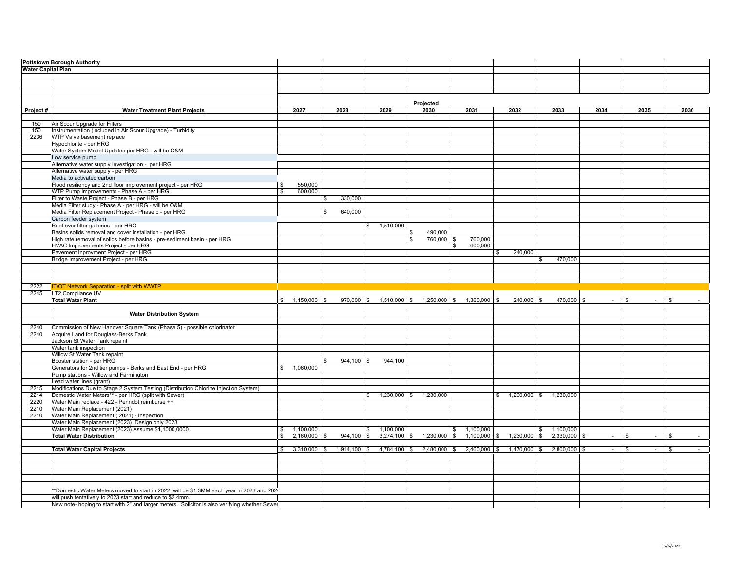|                           | <b>Pottstown Borough Authority</b>                                                                                                                           |                                |              |                |                              |                           |                 |                           |                             |        |                    |               |
|---------------------------|--------------------------------------------------------------------------------------------------------------------------------------------------------------|--------------------------------|--------------|----------------|------------------------------|---------------------------|-----------------|---------------------------|-----------------------------|--------|--------------------|---------------|
| <b>Water Capital Plan</b> |                                                                                                                                                              |                                |              |                |                              |                           |                 |                           |                             |        |                    |               |
|                           |                                                                                                                                                              |                                |              |                |                              |                           |                 |                           |                             |        |                    |               |
|                           |                                                                                                                                                              |                                |              |                |                              |                           |                 |                           |                             |        |                    |               |
|                           |                                                                                                                                                              |                                |              |                |                              |                           |                 |                           |                             |        |                    |               |
|                           |                                                                                                                                                              |                                |              |                |                              |                           |                 |                           |                             |        |                    |               |
|                           |                                                                                                                                                              |                                |              |                |                              |                           |                 |                           |                             |        |                    |               |
|                           |                                                                                                                                                              |                                |              |                |                              | Projected                 |                 |                           |                             |        |                    |               |
| Project#                  | <b>Water Treatment Plant Projects</b>                                                                                                                        | 2027                           |              | 2028           | 2029                         | 2030                      | 2031            | 2032                      | 2033                        | 2034   | 2035               | 2036          |
|                           |                                                                                                                                                              |                                |              |                |                              |                           |                 |                           |                             |        |                    |               |
| 150                       | Air Scour Upgrade for Filters                                                                                                                                |                                |              |                |                              |                           |                 |                           |                             |        |                    |               |
| 150                       | Instrumentation (included in Air Scour Upgrade) - Turbidity                                                                                                  |                                |              |                |                              |                           |                 |                           |                             |        |                    |               |
| 2236                      | WTP Valve basement replace                                                                                                                                   |                                |              |                |                              |                           |                 |                           |                             |        |                    |               |
|                           | Hypochlorite - per HRG                                                                                                                                       |                                |              |                |                              |                           |                 |                           |                             |        |                    |               |
|                           | Water System Model Updates per HRG - will be O&M                                                                                                             |                                |              |                |                              |                           |                 |                           |                             |        |                    |               |
|                           | Low service pump                                                                                                                                             |                                |              |                |                              |                           |                 |                           |                             |        |                    |               |
|                           | Alternative water supply Investigation - per HRG                                                                                                             |                                |              |                |                              |                           |                 |                           |                             |        |                    |               |
|                           | Alternative water supply - per HRG                                                                                                                           |                                |              |                |                              |                           |                 |                           |                             |        |                    |               |
|                           | Media to activated carbon                                                                                                                                    |                                |              |                |                              |                           |                 |                           |                             |        |                    |               |
|                           | Flood resiliency and 2nd floor improvement project - per HRG                                                                                                 | 550,000<br>$\sqrt{3}$          |              |                |                              |                           |                 |                           |                             |        |                    |               |
|                           | WTP Pump Improvements - Phase A - per HRG                                                                                                                    | 600,000<br>$\mathbf{s}$        |              |                |                              |                           |                 |                           |                             |        |                    |               |
|                           | Filter to Waste Project - Phase B - per HRG                                                                                                                  |                                | \$           | 330,000        |                              |                           |                 |                           |                             |        |                    |               |
|                           | Media Filter study - Phase A - per HRG - will be O&M                                                                                                         |                                |              |                |                              |                           |                 |                           |                             |        |                    |               |
|                           | Media Filter Replacement Project - Phase b - per HRG                                                                                                         |                                |              | 640,000        |                              |                           |                 |                           |                             |        |                    |               |
|                           | Carbon feeder system                                                                                                                                         |                                | \$           |                |                              |                           |                 |                           |                             |        |                    |               |
|                           |                                                                                                                                                              |                                |              |                |                              |                           |                 |                           |                             |        |                    |               |
|                           | Roof over filter galleries - per HRG                                                                                                                         |                                |              |                | \$ 1,510,000                 |                           |                 |                           |                             |        |                    |               |
|                           | Basins solids removal and cover installation - per HRG                                                                                                       |                                |              |                |                              | 490,000<br>\$             |                 |                           |                             |        |                    |               |
|                           | High rate removal of solids before basins - pre-sediment basin - per HRG                                                                                     |                                |              |                |                              | 760,000 \$<br>\$          | 760,000         |                           |                             |        |                    |               |
|                           | HVAC Improvements Project - per HRG                                                                                                                          |                                |              |                |                              |                           | 600.000<br>\$   |                           |                             |        |                    |               |
|                           | Pavement Inprovment Project - per HRG                                                                                                                        |                                |              |                |                              |                           |                 | 240,000<br>$\mathsf{\$}$  |                             |        |                    |               |
|                           | Bridge Improvement Project - per HRG                                                                                                                         |                                |              |                |                              |                           |                 | \$                        | 470,000                     |        |                    |               |
|                           |                                                                                                                                                              |                                |              |                |                              |                           |                 |                           |                             |        |                    |               |
|                           |                                                                                                                                                              |                                |              |                |                              |                           |                 |                           |                             |        |                    |               |
|                           |                                                                                                                                                              |                                |              |                |                              |                           |                 |                           |                             |        |                    |               |
| 2222                      | <b>IT/OT Network Separation - split with WWTP</b>                                                                                                            |                                |              |                |                              |                           |                 |                           |                             |        |                    |               |
| 2245                      | LT2 Compliance UV                                                                                                                                            |                                |              |                |                              |                           |                 |                           |                             |        |                    |               |
|                           | <b>Total Water Plant</b>                                                                                                                                     | $1,150,000$ \$<br>$\mathbf{s}$ |              | $970,000$ \$   | $1,510,000$ \$               | $1,250,000$ \$            | $1,360,000$ \$  | $240,000$ \$              | 470,000 \$                  | $\sim$ | l \$               | $\mathbf{\$}$ |
|                           |                                                                                                                                                              |                                |              |                |                              |                           |                 |                           |                             |        |                    |               |
|                           | <b>Water Distribution System</b>                                                                                                                             |                                |              |                |                              |                           |                 |                           |                             |        |                    |               |
|                           |                                                                                                                                                              |                                |              |                |                              |                           |                 |                           |                             |        |                    |               |
| 2240                      | Commission of New Hanover Square Tank (Phase 5) - possible chlorinator                                                                                       |                                |              |                |                              |                           |                 |                           |                             |        |                    |               |
| 2240                      | Acquire Land for Douglass-Berks Tank                                                                                                                         |                                |              |                |                              |                           |                 |                           |                             |        |                    |               |
|                           |                                                                                                                                                              |                                |              |                |                              |                           |                 |                           |                             |        |                    |               |
|                           |                                                                                                                                                              |                                |              |                |                              |                           |                 |                           |                             |        |                    |               |
|                           | Jackson St Water Tank repaint                                                                                                                                |                                |              |                |                              |                           |                 |                           |                             |        |                    |               |
|                           | Water tank inspection                                                                                                                                        |                                |              |                |                              |                           |                 |                           |                             |        |                    |               |
|                           | Willow St Water Tank repaint                                                                                                                                 |                                |              |                |                              |                           |                 |                           |                             |        |                    |               |
|                           | Booster station - per HRG                                                                                                                                    |                                | $\mathbf{s}$ | $944,100$ \$   | 944,100                      |                           |                 |                           |                             |        |                    |               |
|                           | Generators for 2nd tier pumps - Berks and East End - per HRG                                                                                                 | 1,060,000<br>$\mathsf{\$}$     |              |                |                              |                           |                 |                           |                             |        |                    |               |
|                           | Pump stations - Willow and Farmington                                                                                                                        |                                |              |                |                              |                           |                 |                           |                             |        |                    |               |
|                           | Lead water lines (grant)                                                                                                                                     |                                |              |                |                              |                           |                 |                           |                             |        |                    |               |
| 2215                      | Modifications Due to Stage 2 System Testing (Distribution Chlorine Injection System)                                                                         |                                |              |                |                              |                           |                 |                           |                             |        |                    |               |
| 2214                      | Domestic Water Meters** - per HRG (split with Sewer)                                                                                                         |                                |              |                |                              | $$1,230,000$ $$1,230,000$ |                 | $$1,230,000$ $$1,230,000$ |                             |        |                    |               |
| 2220                      | Water Main replace - 422 - Penndot reimburse ++                                                                                                              |                                |              |                |                              |                           |                 |                           |                             |        |                    |               |
| 2210                      | Water Main Replacement (2021)                                                                                                                                |                                |              |                |                              |                           |                 |                           |                             |        |                    |               |
| 2210                      | Water Main Replacement (2021) - Inspection                                                                                                                   |                                |              |                |                              |                           |                 |                           |                             |        |                    |               |
|                           | Water Main Replacement (2023) Design only 2023                                                                                                               |                                |              |                |                              |                           |                 |                           |                             |        |                    |               |
|                           |                                                                                                                                                              | 1,100,000<br>$\mathbf{s}$      |              |                | 1,100,000<br>\$              |                           | 1,100,000<br>\$ | \$                        |                             |        |                    |               |
|                           | Water Main Replacement (2023) Assume \$1,1000,0000<br><b>Total Water Distribution</b>                                                                        | $2,160,000$ \$<br>S.           |              | 944,100        | $3,274,100$ \$<br>$\sqrt{3}$ | $1,230,000$ \$            | $1,100,000$ \$  | $1,230,000$ \$            | 1,100,000<br>$2,330,000$ \$ | $\sim$ | <b>S</b><br>$\sim$ | \$<br>$\sim$  |
|                           |                                                                                                                                                              |                                |              |                |                              |                           |                 |                           |                             |        |                    |               |
|                           |                                                                                                                                                              | $3,310,000$ \$<br>S.           |              | $1,914,100$ \$ | $4,784,100$ \$               | $2,480,000$ \$            | $2,460,000$ \$  | $1,470,000$ \$            | $2,800,000$ \$              | $\sim$ | . ድ<br>$\sim$      | . ድ           |
|                           | <b>Total Water Capital Projects</b>                                                                                                                          |                                |              |                |                              |                           |                 |                           |                             |        |                    |               |
|                           |                                                                                                                                                              |                                |              |                |                              |                           |                 |                           |                             |        |                    |               |
|                           |                                                                                                                                                              |                                |              |                |                              |                           |                 |                           |                             |        |                    |               |
|                           |                                                                                                                                                              |                                |              |                |                              |                           |                 |                           |                             |        |                    |               |
|                           |                                                                                                                                                              |                                |              |                |                              |                           |                 |                           |                             |        |                    |               |
|                           |                                                                                                                                                              |                                |              |                |                              |                           |                 |                           |                             |        |                    |               |
|                           | *Domestic Water Meters moved to start in 2022; will be \$1.3MM each year in 2023 and 202-                                                                    |                                |              |                |                              |                           |                 |                           |                             |        |                    |               |
|                           | will push tentatively to 2023 start and reduce to \$2.4mm.<br>New note- hoping to start with 2" and larger meters. Solicitor is also verifying whether Sewer |                                |              |                |                              |                           |                 |                           |                             |        |                    |               |